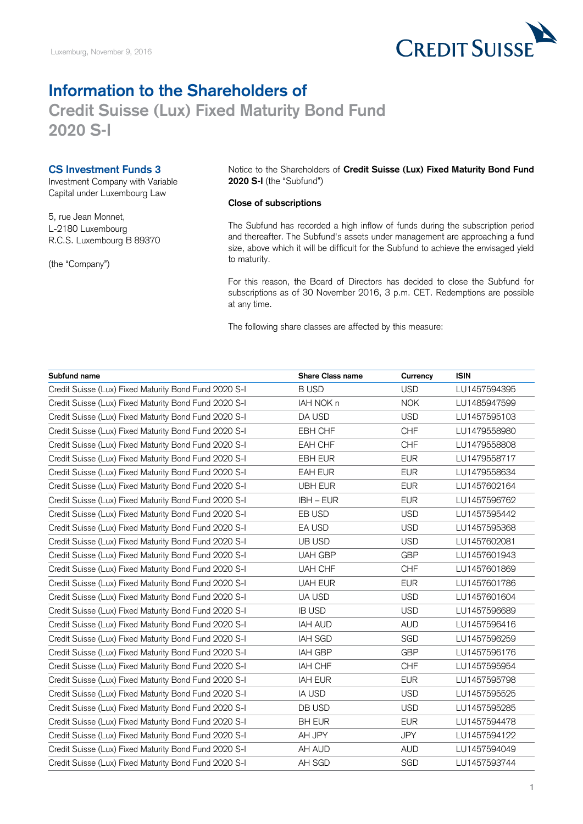

## **Information to the Shareholders of Credit Suisse (Lux) Fixed Maturity Bond Fund 2020 S-I**

## **CS Investment Funds 3**

Investment Company with Variable Capital under Luxembourg Law

5, rue Jean Monnet, L-2180 Luxembourg R.C.S. Luxembourg B 89370

(the "Company")

Notice to the Shareholders of **Credit Suisse (Lux) Fixed Maturity Bond Fund 2020 S-I** (the "Subfund")

## **Close of subscriptions**

The Subfund has recorded a high inflow of funds during the subscription period and thereafter. The Subfund's assets under management are approaching a fund size, above which it will be difficult for the Subfund to achieve the envisaged yield to maturity.

For this reason, the Board of Directors has decided to close the Subfund for subscriptions as of 30 November 2016, 3 p.m. CET. Redemptions are possible at any time.

The following share classes are affected by this measure:

| Subfund name                                          | <b>Share Class name</b> | Currency   | <b>ISIN</b>  |
|-------------------------------------------------------|-------------------------|------------|--------------|
| Credit Suisse (Lux) Fixed Maturity Bond Fund 2020 S-I | <b>BUSD</b>             | <b>USD</b> | LU1457594395 |
| Credit Suisse (Lux) Fixed Maturity Bond Fund 2020 S-I | IAH NOK n               | <b>NOK</b> | LU1485947599 |
| Credit Suisse (Lux) Fixed Maturity Bond Fund 2020 S-I | DA USD                  | <b>USD</b> | LU1457595103 |
| Credit Suisse (Lux) Fixed Maturity Bond Fund 2020 S-I | EBH CHF                 | <b>CHF</b> | LU1479558980 |
| Credit Suisse (Lux) Fixed Maturity Bond Fund 2020 S-I | EAH CHF                 | <b>CHF</b> | LU1479558808 |
| Credit Suisse (Lux) Fixed Maturity Bond Fund 2020 S-I | EBH EUR                 | <b>EUR</b> | LU1479558717 |
| Credit Suisse (Lux) Fixed Maturity Bond Fund 2020 S-I | EAH EUR                 | <b>EUR</b> | LU1479558634 |
| Credit Suisse (Lux) Fixed Maturity Bond Fund 2020 S-I | <b>UBH EUR</b>          | <b>EUR</b> | LU1457602164 |
| Credit Suisse (Lux) Fixed Maturity Bond Fund 2020 S-I | IBH - EUR               | <b>EUR</b> | LU1457596762 |
| Credit Suisse (Lux) Fixed Maturity Bond Fund 2020 S-I | EB USD                  | <b>USD</b> | LU1457595442 |
| Credit Suisse (Lux) Fixed Maturity Bond Fund 2020 S-I | EA USD                  | <b>USD</b> | LU1457595368 |
| Credit Suisse (Lux) Fixed Maturity Bond Fund 2020 S-I | UB USD                  | <b>USD</b> | LU1457602081 |
| Credit Suisse (Lux) Fixed Maturity Bond Fund 2020 S-I | <b>UAH GBP</b>          | <b>GBP</b> | LU1457601943 |
| Credit Suisse (Lux) Fixed Maturity Bond Fund 2020 S-I | UAH CHF                 | <b>CHF</b> | LU1457601869 |
| Credit Suisse (Lux) Fixed Maturity Bond Fund 2020 S-I | <b>UAH EUR</b>          | <b>EUR</b> | LU1457601786 |
| Credit Suisse (Lux) Fixed Maturity Bond Fund 2020 S-I | UA USD                  | <b>USD</b> | LU1457601604 |
| Credit Suisse (Lux) Fixed Maturity Bond Fund 2020 S-I | <b>IB USD</b>           | <b>USD</b> | LU1457596689 |
| Credit Suisse (Lux) Fixed Maturity Bond Fund 2020 S-I | <b>IAH AUD</b>          | <b>AUD</b> | LU1457596416 |
| Credit Suisse (Lux) Fixed Maturity Bond Fund 2020 S-I | <b>IAH SGD</b>          | SGD        | LU1457596259 |
| Credit Suisse (Lux) Fixed Maturity Bond Fund 2020 S-I | IAH GBP                 | <b>GBP</b> | LU1457596176 |
| Credit Suisse (Lux) Fixed Maturity Bond Fund 2020 S-I | IAH CHF                 | <b>CHF</b> | LU1457595954 |
| Credit Suisse (Lux) Fixed Maturity Bond Fund 2020 S-I | <b>IAH EUR</b>          | <b>EUR</b> | LU1457595798 |
| Credit Suisse (Lux) Fixed Maturity Bond Fund 2020 S-I | <b>IA USD</b>           | <b>USD</b> | LU1457595525 |
| Credit Suisse (Lux) Fixed Maturity Bond Fund 2020 S-I | DB USD                  | <b>USD</b> | LU1457595285 |
| Credit Suisse (Lux) Fixed Maturity Bond Fund 2020 S-I | <b>BH EUR</b>           | <b>EUR</b> | LU1457594478 |
| Credit Suisse (Lux) Fixed Maturity Bond Fund 2020 S-I | AH JPY                  | <b>JPY</b> | LU1457594122 |
| Credit Suisse (Lux) Fixed Maturity Bond Fund 2020 S-I | AH AUD                  | <b>AUD</b> | LU1457594049 |
| Credit Suisse (Lux) Fixed Maturity Bond Fund 2020 S-I | AH SGD                  | SGD        | LU1457593744 |